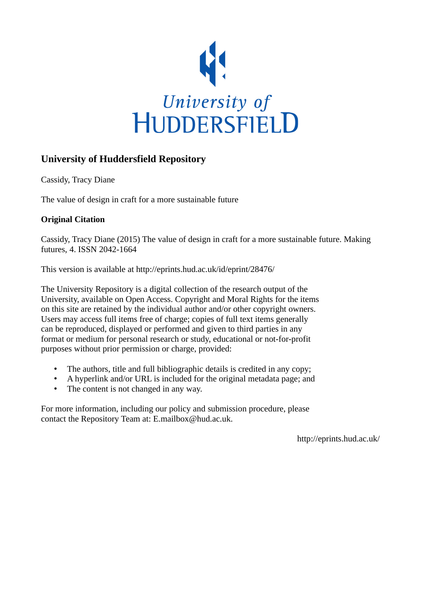

# **University of Huddersfield Repository**

Cassidy, Tracy Diane

The value of design in craft for a more sustainable future

## **Original Citation**

Cassidy, Tracy Diane (2015) The value of design in craft for a more sustainable future. Making futures, 4. ISSN 2042-1664

This version is available at http://eprints.hud.ac.uk/id/eprint/28476/

The University Repository is a digital collection of the research output of the University, available on Open Access. Copyright and Moral Rights for the items on this site are retained by the individual author and/or other copyright owners. Users may access full items free of charge; copies of full text items generally can be reproduced, displayed or performed and given to third parties in any format or medium for personal research or study, educational or not-for-profit purposes without prior permission or charge, provided:

- The authors, title and full bibliographic details is credited in any copy;
- A hyperlink and/or URL is included for the original metadata page; and
- The content is not changed in any way.

For more information, including our policy and submission procedure, please contact the Repository Team at: E.mailbox@hud.ac.uk.

http://eprints.hud.ac.uk/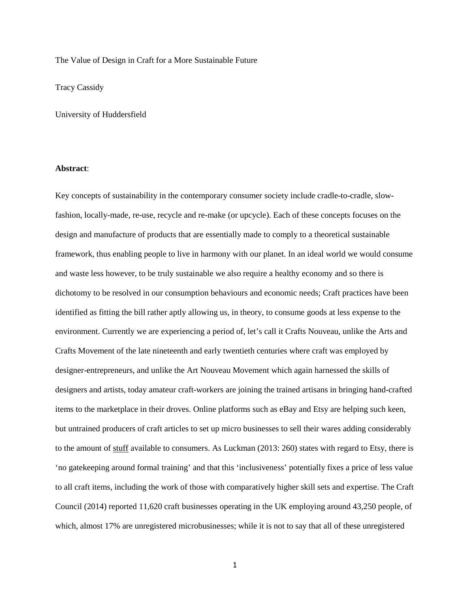The Value of Design in Craft for a More Sustainable Future

Tracy Cassidy

University of Huddersfield

## **Abstract**:

Key concepts of sustainability in the contemporary consumer society include cradle-to-cradle, slowfashion, locally-made, re-use, recycle and re-make (or upcycle). Each of these concepts focuses on the design and manufacture of products that are essentially made to comply to a theoretical sustainable framework, thus enabling people to live in harmony with our planet. In an ideal world we would consume and waste less however, to be truly sustainable we also require a healthy economy and so there is dichotomy to be resolved in our consumption behaviours and economic needs; Craft practices have been identified as fitting the bill rather aptly allowing us, in theory, to consume goods at less expense to the environment. Currently we are experiencing a period of, let's call it Crafts Nouveau, unlike the Arts and Crafts Movement of the late nineteenth and early twentieth centuries where craft was employed by designer-entrepreneurs, and unlike the Art Nouveau Movement which again harnessed the skills of designers and artists, today amateur craft-workers are joining the trained artisans in bringing hand-crafted items to the marketplace in their droves. Online platforms such as eBay and Etsy are helping such keen, but untrained producers of craft articles to set up micro businesses to sell their wares adding considerably to the amount of stuff available to consumers. As Luckman (2013: 260) states with regard to Etsy, there is 'no gatekeeping around formal training' and that this 'inclusiveness' potentially fixes a price of less value to all craft items, including the work of those with comparatively higher skill sets and expertise. The Craft Council (2014) reported 11,620 craft businesses operating in the UK employing around 43,250 people, of which, almost 17% are unregistered microbusinesses; while it is not to say that all of these unregistered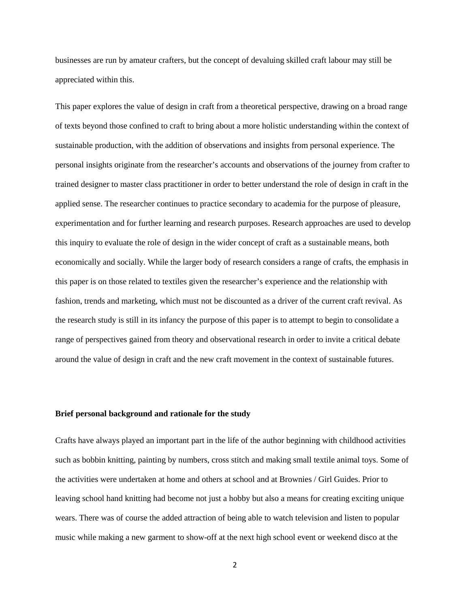businesses are run by amateur crafters, but the concept of devaluing skilled craft labour may still be appreciated within this.

This paper explores the value of design in craft from a theoretical perspective, drawing on a broad range of texts beyond those confined to craft to bring about a more holistic understanding within the context of sustainable production, with the addition of observations and insights from personal experience. The personal insights originate from the researcher's accounts and observations of the journey from crafter to trained designer to master class practitioner in order to better understand the role of design in craft in the applied sense. The researcher continues to practice secondary to academia for the purpose of pleasure, experimentation and for further learning and research purposes. Research approaches are used to develop this inquiry to evaluate the role of design in the wider concept of craft as a sustainable means, both economically and socially. While the larger body of research considers a range of crafts, the emphasis in this paper is on those related to textiles given the researcher's experience and the relationship with fashion, trends and marketing, which must not be discounted as a driver of the current craft revival. As the research study is still in its infancy the purpose of this paper is to attempt to begin to consolidate a range of perspectives gained from theory and observational research in order to invite a critical debate around the value of design in craft and the new craft movement in the context of sustainable futures.

## **Brief personal background and rationale for the study**

Crafts have always played an important part in the life of the author beginning with childhood activities such as bobbin knitting, painting by numbers, cross stitch and making small textile animal toys. Some of the activities were undertaken at home and others at school and at Brownies / Girl Guides. Prior to leaving school hand knitting had become not just a hobby but also a means for creating exciting unique wears. There was of course the added attraction of being able to watch television and listen to popular music while making a new garment to show-off at the next high school event or weekend disco at the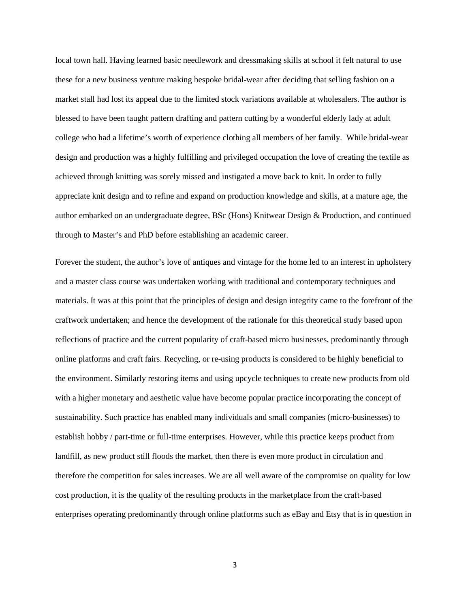local town hall. Having learned basic needlework and dressmaking skills at school it felt natural to use these for a new business venture making bespoke bridal-wear after deciding that selling fashion on a market stall had lost its appeal due to the limited stock variations available at wholesalers. The author is blessed to have been taught pattern drafting and pattern cutting by a wonderful elderly lady at adult college who had a lifetime's worth of experience clothing all members of her family. While bridal-wear design and production was a highly fulfilling and privileged occupation the love of creating the textile as achieved through knitting was sorely missed and instigated a move back to knit. In order to fully appreciate knit design and to refine and expand on production knowledge and skills, at a mature age, the author embarked on an undergraduate degree, BSc (Hons) Knitwear Design & Production, and continued through to Master's and PhD before establishing an academic career.

Forever the student, the author's love of antiques and vintage for the home led to an interest in upholstery and a master class course was undertaken working with traditional and contemporary techniques and materials. It was at this point that the principles of design and design integrity came to the forefront of the craftwork undertaken; and hence the development of the rationale for this theoretical study based upon reflections of practice and the current popularity of craft-based micro businesses, predominantly through online platforms and craft fairs. Recycling, or re-using products is considered to be highly beneficial to the environment. Similarly restoring items and using upcycle techniques to create new products from old with a higher monetary and aesthetic value have become popular practice incorporating the concept of sustainability. Such practice has enabled many individuals and small companies (micro-businesses) to establish hobby / part-time or full-time enterprises. However, while this practice keeps product from landfill, as new product still floods the market, then there is even more product in circulation and therefore the competition for sales increases. We are all well aware of the compromise on quality for low cost production, it is the quality of the resulting products in the marketplace from the craft-based enterprises operating predominantly through online platforms such as eBay and Etsy that is in question in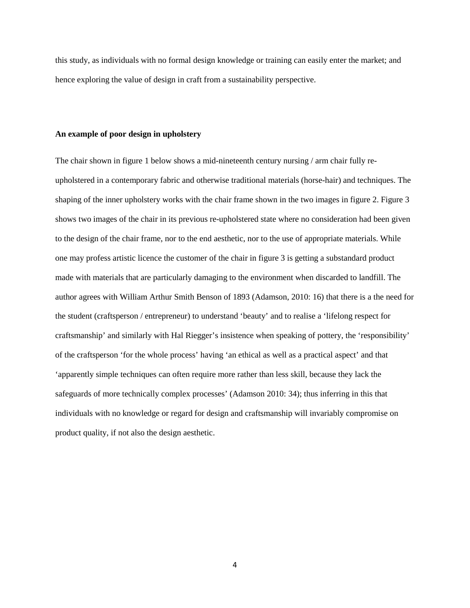this study, as individuals with no formal design knowledge or training can easily enter the market; and hence exploring the value of design in craft from a sustainability perspective.

#### **An example of poor design in upholstery**

The chair shown in figure 1 below shows a mid-nineteenth century nursing / arm chair fully reupholstered in a contemporary fabric and otherwise traditional materials (horse-hair) and techniques. The shaping of the inner upholstery works with the chair frame shown in the two images in figure 2. Figure 3 shows two images of the chair in its previous re-upholstered state where no consideration had been given to the design of the chair frame, nor to the end aesthetic, nor to the use of appropriate materials. While one may profess artistic licence the customer of the chair in figure 3 is getting a substandard product made with materials that are particularly damaging to the environment when discarded to landfill. The author agrees with William Arthur Smith Benson of 1893 (Adamson, 2010: 16) that there is a the need for the student (craftsperson / entrepreneur) to understand 'beauty' and to realise a 'lifelong respect for craftsmanship' and similarly with Hal Riegger's insistence when speaking of pottery, the 'responsibility' of the craftsperson 'for the whole process' having 'an ethical as well as a practical aspect' and that 'apparently simple techniques can often require more rather than less skill, because they lack the safeguards of more technically complex processes' (Adamson 2010: 34); thus inferring in this that individuals with no knowledge or regard for design and craftsmanship will invariably compromise on product quality, if not also the design aesthetic.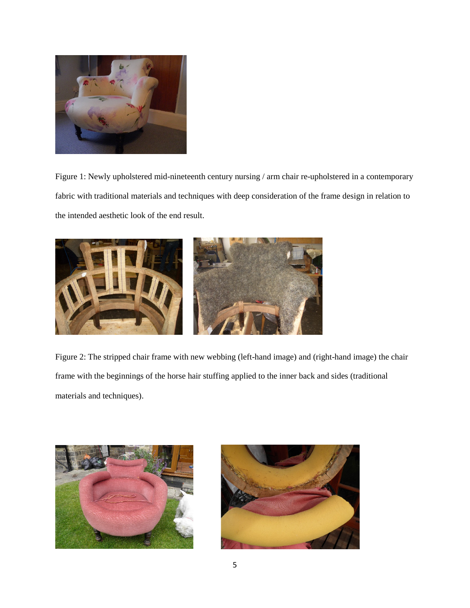

Figure 1: Newly upholstered mid-nineteenth century nursing / arm chair re-upholstered in a contemporary fabric with traditional materials and techniques with deep consideration of the frame design in relation to the intended aesthetic look of the end result.



Figure 2: The stripped chair frame with new webbing (left-hand image) and (right-hand image) the chair frame with the beginnings of the horse hair stuffing applied to the inner back and sides (traditional materials and techniques).



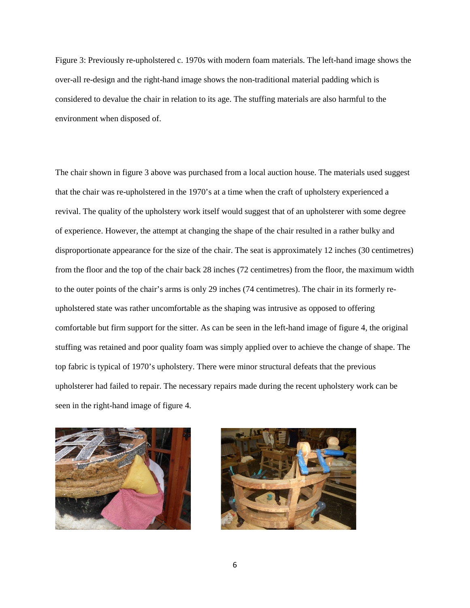Figure 3: Previously re-upholstered c. 1970s with modern foam materials. The left-hand image shows the over-all re-design and the right-hand image shows the non-traditional material padding which is considered to devalue the chair in relation to its age. The stuffing materials are also harmful to the environment when disposed of.

The chair shown in figure 3 above was purchased from a local auction house. The materials used suggest that the chair was re-upholstered in the 1970's at a time when the craft of upholstery experienced a revival. The quality of the upholstery work itself would suggest that of an upholsterer with some degree of experience. However, the attempt at changing the shape of the chair resulted in a rather bulky and disproportionate appearance for the size of the chair. The seat is approximately 12 inches (30 centimetres) from the floor and the top of the chair back 28 inches (72 centimetres) from the floor, the maximum width to the outer points of the chair's arms is only 29 inches (74 centimetres). The chair in its formerly reupholstered state was rather uncomfortable as the shaping was intrusive as opposed to offering comfortable but firm support for the sitter. As can be seen in the left-hand image of figure 4, the original stuffing was retained and poor quality foam was simply applied over to achieve the change of shape. The top fabric is typical of 1970's upholstery. There were minor structural defeats that the previous upholsterer had failed to repair. The necessary repairs made during the recent upholstery work can be seen in the right-hand image of figure 4.



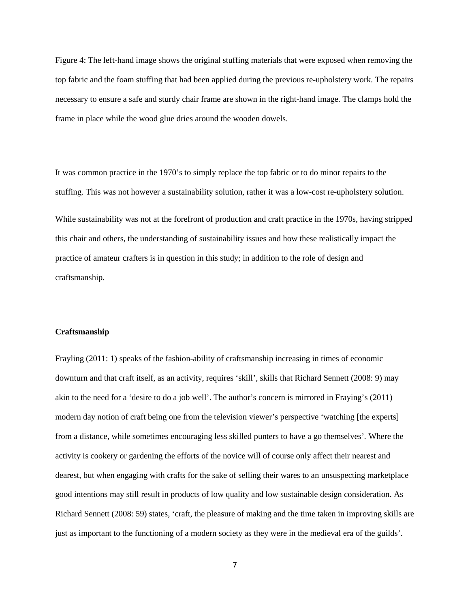Figure 4: The left-hand image shows the original stuffing materials that were exposed when removing the top fabric and the foam stuffing that had been applied during the previous re-upholstery work. The repairs necessary to ensure a safe and sturdy chair frame are shown in the right-hand image. The clamps hold the frame in place while the wood glue dries around the wooden dowels.

It was common practice in the 1970's to simply replace the top fabric or to do minor repairs to the stuffing. This was not however a sustainability solution, rather it was a low-cost re-upholstery solution. While sustainability was not at the forefront of production and craft practice in the 1970s, having stripped this chair and others, the understanding of sustainability issues and how these realistically impact the practice of amateur crafters is in question in this study; in addition to the role of design and craftsmanship.

### **Craftsmanship**

Frayling (2011: 1) speaks of the fashion-ability of craftsmanship increasing in times of economic downturn and that craft itself, as an activity, requires 'skill', skills that Richard Sennett (2008: 9) may akin to the need for a 'desire to do a job well'. The author's concern is mirrored in Fraying's (2011) modern day notion of craft being one from the television viewer's perspective 'watching [the experts] from a distance, while sometimes encouraging less skilled punters to have a go themselves'*.* Where the activity is cookery or gardening the efforts of the novice will of course only affect their nearest and dearest, but when engaging with crafts for the sake of selling their wares to an unsuspecting marketplace good intentions may still result in products of low quality and low sustainable design consideration. As Richard Sennett (2008: 59) states, 'craft, the pleasure of making and the time taken in improving skills are just as important to the functioning of a modern society as they were in the medieval era of the guilds'.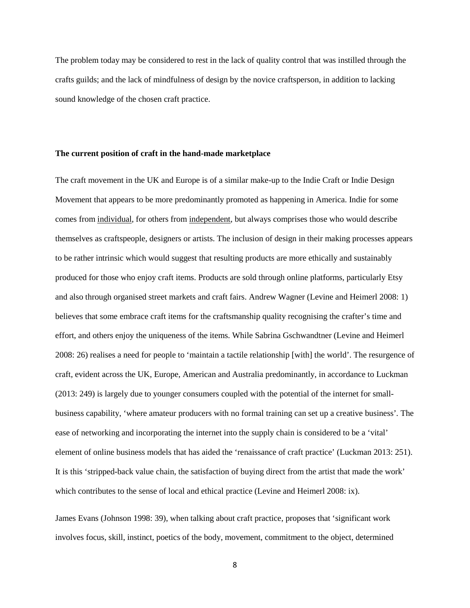The problem today may be considered to rest in the lack of quality control that was instilled through the crafts guilds; and the lack of mindfulness of design by the novice craftsperson, in addition to lacking sound knowledge of the chosen craft practice.

## **The current position of craft in the hand-made marketplace**

The craft movement in the UK and Europe is of a similar make-up to the Indie Craft or Indie Design Movement that appears to be more predominantly promoted as happening in America. Indie for some comes from individual, for others from independent, but always comprises those who would describe themselves as craftspeople, designers or artists. The inclusion of design in their making processes appears to be rather intrinsic which would suggest that resulting products are more ethically and sustainably produced for those who enjoy craft items. Products are sold through online platforms, particularly Etsy and also through organised street markets and craft fairs. Andrew Wagner (Levine and Heimerl 2008: 1) believes that some embrace craft items for the craftsmanship quality recognising the crafter's time and effort, and others enjoy the uniqueness of the items. While Sabrina Gschwandtner (Levine and Heimerl 2008: 26) realises a need for people to 'maintain a tactile relationship [with] the world'. The resurgence of craft, evident across the UK, Europe, American and Australia predominantly, in accordance to Luckman (2013: 249) is largely due to younger consumers coupled with the potential of the internet for smallbusiness capability, 'where amateur producers with no formal training can set up a creative business'*.* The ease of networking and incorporating the internet into the supply chain is considered to be a 'vital' element of online business models that has aided the 'renaissance of craft practice' (Luckman 2013: 251). It is this 'stripped-back value chain, the satisfaction of buying direct from the artist that made the work' which contributes to the sense of local and ethical practice (Levine and Heimerl 2008: ix).

James Evans (Johnson 1998: 39), when talking about craft practice, proposes that 'significant work involves focus, skill, instinct, poetics of the body, movement, commitment to the object, determined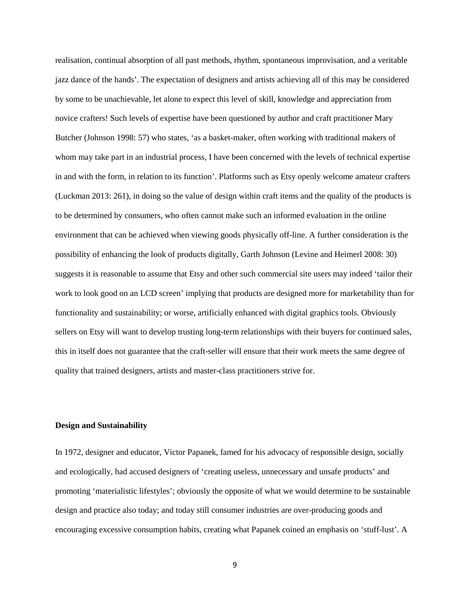realisation, continual absorption of all past methods, rhythm, spontaneous improvisation, and a veritable jazz dance of the hands'. The expectation of designers and artists achieving all of this may be considered by some to be unachievable, let alone to expect this level of skill, knowledge and appreciation from novice crafters! Such levels of expertise have been questioned by author and craft practitioner Mary Butcher (Johnson 1998: 57) who states, 'as a basket-maker, often working with traditional makers of whom may take part in an industrial process, I have been concerned with the levels of technical expertise in and with the form, in relation to its function'. Platforms such as Etsy openly welcome amateur crafters (Luckman 2013: 261), in doing so the value of design within craft items and the quality of the products is to be determined by consumers, who often cannot make such an informed evaluation in the online environment that can be achieved when viewing goods physically off-line. A further consideration is the possibility of enhancing the look of products digitally, Garth Johnson (Levine and Heimerl 2008: 30) suggests it is reasonable to assume that Etsy and other such commercial site users may indeed 'tailor their work to look good on an LCD screen' implying that products are designed more for marketability than for functionality and sustainability; or worse, artificially enhanced with digital graphics tools. Obviously sellers on Etsy will want to develop trusting long-term relationships with their buyers for continued sales, this in itself does not guarantee that the craft-seller will ensure that their work meets the same degree of quality that trained designers, artists and master-class practitioners strive for.

### **Design and Sustainability**

In 1972, designer and educator, Victor Papanek, famed for his advocacy of responsible design, socially and ecologically, had accused designers of 'creating useless, unnecessary and unsafe products' and promoting 'materialistic lifestyles'; obviously the opposite of what we would determine to be sustainable design and practice also today; and today still consumer industries are over-producing goods and encouraging excessive consumption habits, creating what Papanek coined an emphasis on 'stuff-lust'. A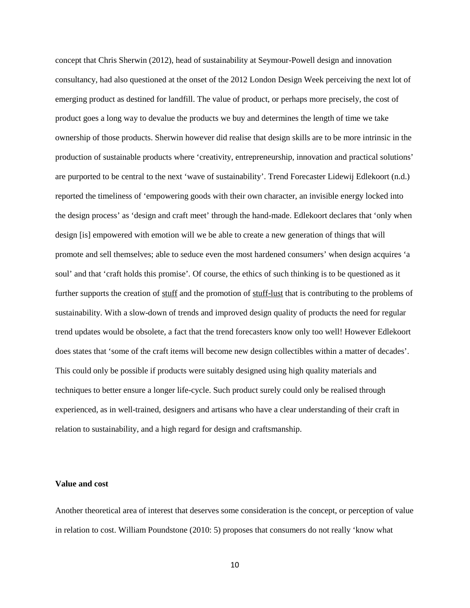concept that Chris Sherwin (2012), head of sustainability at Seymour-Powell design and innovation consultancy, had also questioned at the onset of the 2012 London Design Week perceiving the next lot of emerging product as destined for landfill. The value of product, or perhaps more precisely, the cost of product goes a long way to devalue the products we buy and determines the length of time we take ownership of those products. Sherwin however did realise that design skills are to be more intrinsic in the production of sustainable products where 'creativity, entrepreneurship, innovation and practical solutions' are purported to be central to the next 'wave of sustainability'. Trend Forecaster Lidewij Edlekoort (n.d.) reported the timeliness of 'empowering goods with their own character, an invisible energy locked into the design process' as 'design and craft meet' through the hand-made. Edlekoort declares that 'only when design [is] empowered with emotion will we be able to create a new generation of things that will promote and sell themselves; able to seduce even the most hardened consumers' when design acquires 'a soul' and that 'craft holds this promise'*.* Of course, the ethics of such thinking is to be questioned as it further supports the creation of stuff and the promotion of stuff-lust that is contributing to the problems of sustainability. With a slow-down of trends and improved design quality of products the need for regular trend updates would be obsolete, a fact that the trend forecasters know only too well! However Edlekoort does states that 'some of the craft items will become new design collectibles within a matter of decades'. This could only be possible if products were suitably designed using high quality materials and techniques to better ensure a longer life-cycle. Such product surely could only be realised through experienced, as in well-trained, designers and artisans who have a clear understanding of their craft in relation to sustainability, and a high regard for design and craftsmanship.

## **Value and cost**

Another theoretical area of interest that deserves some consideration is the concept, or perception of value in relation to cost. William Poundstone (2010: 5) proposes that consumers do not really 'know what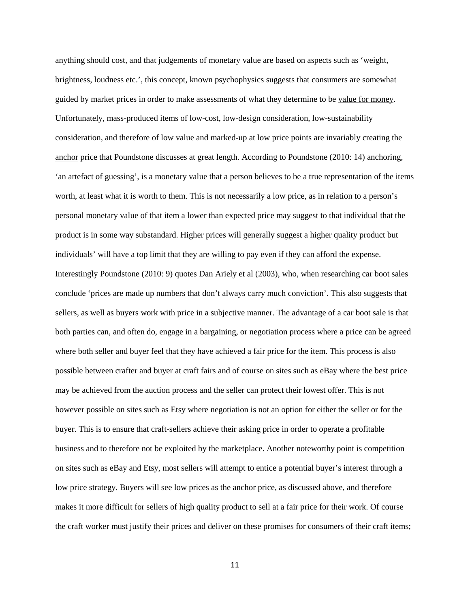anything should cost, and that judgements of monetary value are based on aspects such as 'weight, brightness, loudness etc.', this concept, known psychophysics suggests that consumers are somewhat guided by market prices in order to make assessments of what they determine to be value for money. Unfortunately, mass-produced items of low-cost, low-design consideration, low-sustainability consideration, and therefore of low value and marked-up at low price points are invariably creating the anchor price that Poundstone discusses at great length. According to Poundstone (2010: 14) anchoring, 'an artefact of guessing', is a monetary value that a person believes to be a true representation of the items worth, at least what it is worth to them. This is not necessarily a low price, as in relation to a person's personal monetary value of that item a lower than expected price may suggest to that individual that the product is in some way substandard. Higher prices will generally suggest a higher quality product but individuals' will have a top limit that they are willing to pay even if they can afford the expense. Interestingly Poundstone (2010: 9) quotes Dan Ariely et al (2003), who, when researching car boot sales conclude 'prices are made up numbers that don't always carry much conviction'. This also suggests that sellers, as well as buyers work with price in a subjective manner. The advantage of a car boot sale is that both parties can, and often do, engage in a bargaining, or negotiation process where a price can be agreed where both seller and buyer feel that they have achieved a fair price for the item. This process is also possible between crafter and buyer at craft fairs and of course on sites such as eBay where the best price may be achieved from the auction process and the seller can protect their lowest offer. This is not however possible on sites such as Etsy where negotiation is not an option for either the seller or for the buyer. This is to ensure that craft-sellers achieve their asking price in order to operate a profitable business and to therefore not be exploited by the marketplace. Another noteworthy point is competition on sites such as eBay and Etsy, most sellers will attempt to entice a potential buyer's interest through a low price strategy. Buyers will see low prices as the anchor price, as discussed above, and therefore makes it more difficult for sellers of high quality product to sell at a fair price for their work. Of course the craft worker must justify their prices and deliver on these promises for consumers of their craft items;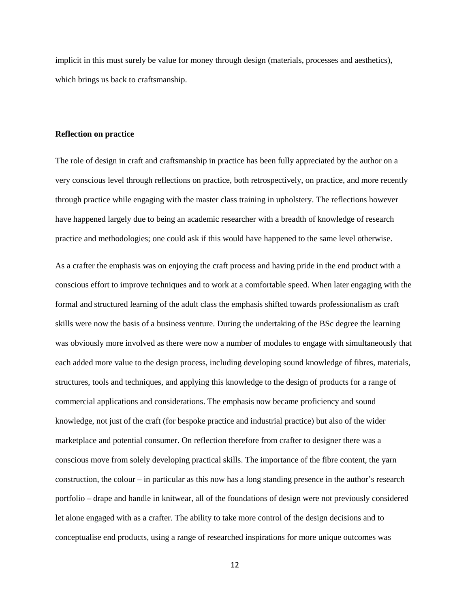implicit in this must surely be value for money through design (materials, processes and aesthetics), which brings us back to craftsmanship.

#### **Reflection on practice**

The role of design in craft and craftsmanship in practice has been fully appreciated by the author on a very conscious level through reflections on practice, both retrospectively, on practice, and more recently through practice while engaging with the master class training in upholstery. The reflections however have happened largely due to being an academic researcher with a breadth of knowledge of research practice and methodologies; one could ask if this would have happened to the same level otherwise.

As a crafter the emphasis was on enjoying the craft process and having pride in the end product with a conscious effort to improve techniques and to work at a comfortable speed. When later engaging with the formal and structured learning of the adult class the emphasis shifted towards professionalism as craft skills were now the basis of a business venture. During the undertaking of the BSc degree the learning was obviously more involved as there were now a number of modules to engage with simultaneously that each added more value to the design process, including developing sound knowledge of fibres, materials, structures, tools and techniques, and applying this knowledge to the design of products for a range of commercial applications and considerations. The emphasis now became proficiency and sound knowledge, not just of the craft (for bespoke practice and industrial practice) but also of the wider marketplace and potential consumer. On reflection therefore from crafter to designer there was a conscious move from solely developing practical skills. The importance of the fibre content, the yarn construction, the colour – in particular as this now has a long standing presence in the author's research portfolio – drape and handle in knitwear, all of the foundations of design were not previously considered let alone engaged with as a crafter. The ability to take more control of the design decisions and to conceptualise end products, using a range of researched inspirations for more unique outcomes was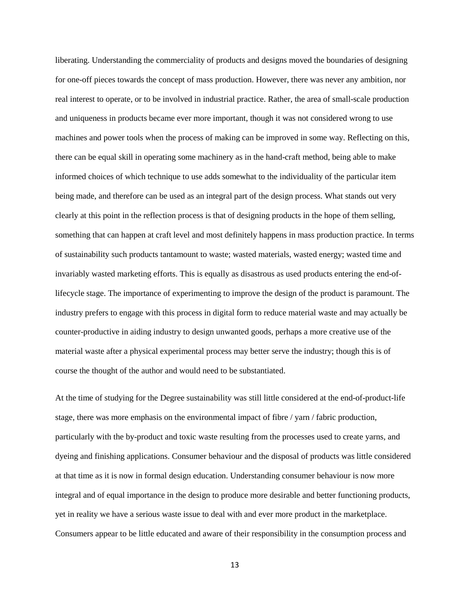liberating. Understanding the commerciality of products and designs moved the boundaries of designing for one-off pieces towards the concept of mass production. However, there was never any ambition, nor real interest to operate, or to be involved in industrial practice. Rather, the area of small-scale production and uniqueness in products became ever more important, though it was not considered wrong to use machines and power tools when the process of making can be improved in some way. Reflecting on this, there can be equal skill in operating some machinery as in the hand-craft method, being able to make informed choices of which technique to use adds somewhat to the individuality of the particular item being made, and therefore can be used as an integral part of the design process. What stands out very clearly at this point in the reflection process is that of designing products in the hope of them selling, something that can happen at craft level and most definitely happens in mass production practice. In terms of sustainability such products tantamount to waste; wasted materials, wasted energy; wasted time and invariably wasted marketing efforts. This is equally as disastrous as used products entering the end-oflifecycle stage. The importance of experimenting to improve the design of the product is paramount. The industry prefers to engage with this process in digital form to reduce material waste and may actually be counter-productive in aiding industry to design unwanted goods, perhaps a more creative use of the material waste after a physical experimental process may better serve the industry; though this is of course the thought of the author and would need to be substantiated.

At the time of studying for the Degree sustainability was still little considered at the end-of-product-life stage, there was more emphasis on the environmental impact of fibre / yarn / fabric production, particularly with the by-product and toxic waste resulting from the processes used to create yarns, and dyeing and finishing applications. Consumer behaviour and the disposal of products was little considered at that time as it is now in formal design education. Understanding consumer behaviour is now more integral and of equal importance in the design to produce more desirable and better functioning products, yet in reality we have a serious waste issue to deal with and ever more product in the marketplace. Consumers appear to be little educated and aware of their responsibility in the consumption process and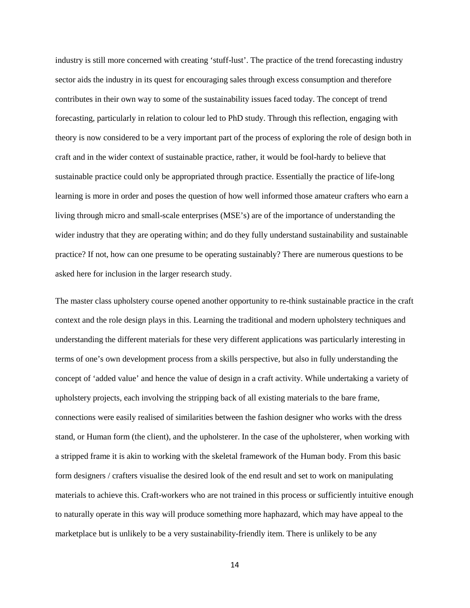industry is still more concerned with creating 'stuff-lust'. The practice of the trend forecasting industry sector aids the industry in its quest for encouraging sales through excess consumption and therefore contributes in their own way to some of the sustainability issues faced today. The concept of trend forecasting, particularly in relation to colour led to PhD study. Through this reflection, engaging with theory is now considered to be a very important part of the process of exploring the role of design both in craft and in the wider context of sustainable practice, rather, it would be fool-hardy to believe that sustainable practice could only be appropriated through practice. Essentially the practice of life-long learning is more in order and poses the question of how well informed those amateur crafters who earn a living through micro and small-scale enterprises (MSE's) are of the importance of understanding the wider industry that they are operating within; and do they fully understand sustainability and sustainable practice? If not, how can one presume to be operating sustainably? There are numerous questions to be asked here for inclusion in the larger research study.

The master class upholstery course opened another opportunity to re-think sustainable practice in the craft context and the role design plays in this. Learning the traditional and modern upholstery techniques and understanding the different materials for these very different applications was particularly interesting in terms of one's own development process from a skills perspective, but also in fully understanding the concept of 'added value' and hence the value of design in a craft activity. While undertaking a variety of upholstery projects, each involving the stripping back of all existing materials to the bare frame, connections were easily realised of similarities between the fashion designer who works with the dress stand, or Human form (the client), and the upholsterer. In the case of the upholsterer, when working with a stripped frame it is akin to working with the skeletal framework of the Human body. From this basic form designers / crafters visualise the desired look of the end result and set to work on manipulating materials to achieve this. Craft-workers who are not trained in this process or sufficiently intuitive enough to naturally operate in this way will produce something more haphazard, which may have appeal to the marketplace but is unlikely to be a very sustainability-friendly item. There is unlikely to be any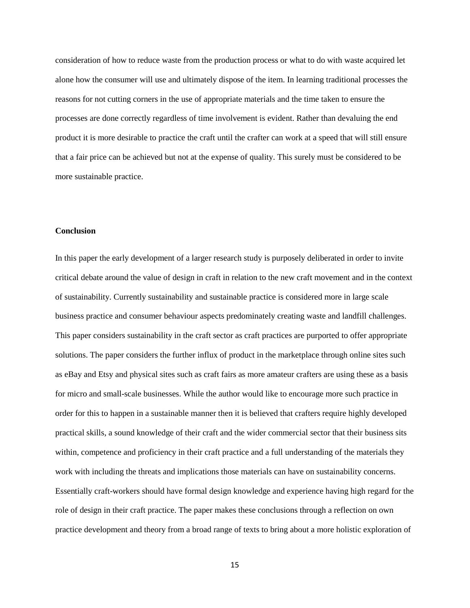consideration of how to reduce waste from the production process or what to do with waste acquired let alone how the consumer will use and ultimately dispose of the item. In learning traditional processes the reasons for not cutting corners in the use of appropriate materials and the time taken to ensure the processes are done correctly regardless of time involvement is evident. Rather than devaluing the end product it is more desirable to practice the craft until the crafter can work at a speed that will still ensure that a fair price can be achieved but not at the expense of quality. This surely must be considered to be more sustainable practice.

## **Conclusion**

In this paper the early development of a larger research study is purposely deliberated in order to invite critical debate around the value of design in craft in relation to the new craft movement and in the context of sustainability. Currently sustainability and sustainable practice is considered more in large scale business practice and consumer behaviour aspects predominately creating waste and landfill challenges. This paper considers sustainability in the craft sector as craft practices are purported to offer appropriate solutions. The paper considers the further influx of product in the marketplace through online sites such as eBay and Etsy and physical sites such as craft fairs as more amateur crafters are using these as a basis for micro and small-scale businesses. While the author would like to encourage more such practice in order for this to happen in a sustainable manner then it is believed that crafters require highly developed practical skills, a sound knowledge of their craft and the wider commercial sector that their business sits within, competence and proficiency in their craft practice and a full understanding of the materials they work with including the threats and implications those materials can have on sustainability concerns. Essentially craft-workers should have formal design knowledge and experience having high regard for the role of design in their craft practice. The paper makes these conclusions through a reflection on own practice development and theory from a broad range of texts to bring about a more holistic exploration of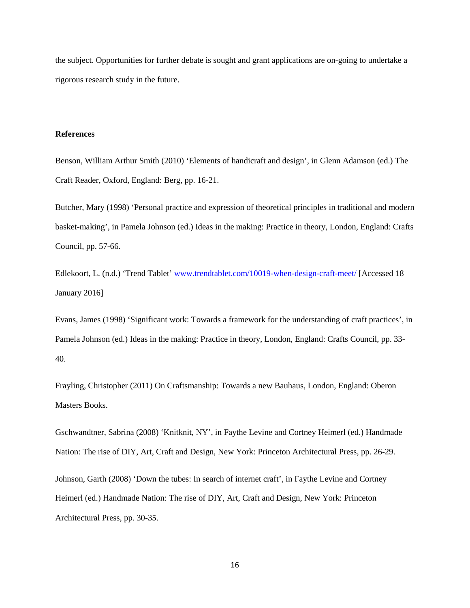the subject. Opportunities for further debate is sought and grant applications are on-going to undertake a rigorous research study in the future.

## **References**

Benson, William Arthur Smith (2010) 'Elements of handicraft and design', in Glenn Adamson (ed.) The Craft Reader, Oxford, England: Berg, pp. 16-21.

Butcher, Mary (1998) 'Personal practice and expression of theoretical principles in traditional and modern basket-making', in Pamela Johnson (ed.) Ideas in the making: Practice in theory, London, England: Crafts Council, pp. 57-66.

Edlekoort, L. (n.d.) 'Trend Tablet' [www.trendtablet.com/10019-when-design-craft-meet/](http://www.trendtablet.com/10019-when-design-craft-meet/) [Accessed 18 January 2016]

Evans, James (1998) 'Significant work: Towards a framework for the understanding of craft practices', in Pamela Johnson (ed.) Ideas in the making: Practice in theory, London, England: Crafts Council, pp. 33- 40.

Frayling, Christopher (2011) On Craftsmanship: Towards a new Bauhaus, London, England: Oberon Masters Books.

Gschwandtner, Sabrina (2008) 'Knitknit, NY', in Faythe Levine and Cortney Heimerl (ed.) Handmade Nation: The rise of DIY, Art, Craft and Design, New York: Princeton Architectural Press, pp. 26-29. Johnson, Garth (2008) 'Down the tubes: In search of internet craft', in Faythe Levine and Cortney Heimerl (ed.) Handmade Nation: The rise of DIY, Art, Craft and Design, New York: Princeton Architectural Press, pp. 30-35.